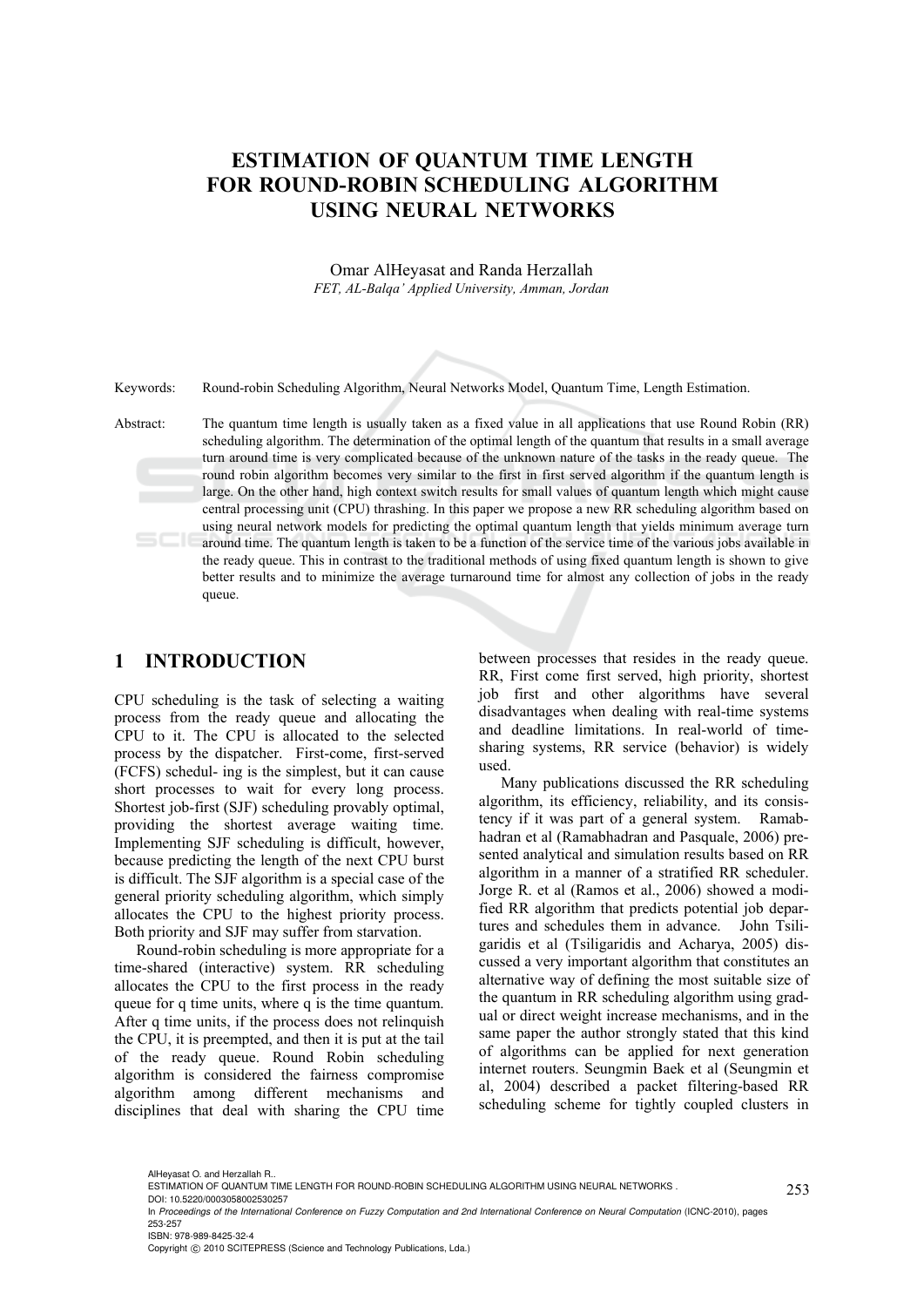## **ESTIMATION OF QUANTUM TIME LENGTH FOR ROUND-ROBIN SCHEDULING ALGORITHM USING NEURAL NETWORKS**

Omar AlHeyasat and Randa Herzallah *FET, AL-Balqa' Applied University, Amman, Jordan* 

Keywords: Round-robin Scheduling Algorithm, Neural Networks Model, Quantum Time, Length Estimation.

Abstract: The quantum time length is usually taken as a fixed value in all applications that use Round Robin (RR) scheduling algorithm. The determination of the optimal length of the quantum that results in a small average turn around time is very complicated because of the unknown nature of the tasks in the ready queue. The round robin algorithm becomes very similar to the first in first served algorithm if the quantum length is large. On the other hand, high context switch results for small values of quantum length which might cause central processing unit (CPU) thrashing. In this paper we propose a new RR scheduling algorithm based on using neural network models for predicting the optimal quantum length that yields minimum average turn around time. The quantum length is taken to be a function of the service time of the various jobs available in the ready queue. This in contrast to the traditional methods of using fixed quantum length is shown to give better results and to minimize the average turnaround time for almost any collection of jobs in the ready queue.

#### **1 INTRODUCTION**

CPU scheduling is the task of selecting a waiting process from the ready queue and allocating the CPU to it. The CPU is allocated to the selected process by the dispatcher. First-come, first-served (FCFS) schedul- ing is the simplest, but it can cause short processes to wait for every long process. Shortest job-first (SJF) scheduling provably optimal, providing the shortest average waiting time. Implementing SJF scheduling is difficult, however, because predicting the length of the next CPU burst is difficult. The SJF algorithm is a special case of the general priority scheduling algorithm, which simply allocates the CPU to the highest priority process. Both priority and SJF may suffer from starvation.

Round-robin scheduling is more appropriate for a time-shared (interactive) system. RR scheduling allocates the CPU to the first process in the ready queue for q time units, where q is the time quantum. After q time units, if the process does not relinquish the CPU, it is preempted, and then it is put at the tail of the ready queue. Round Robin scheduling algorithm is considered the fairness compromise algorithm among different mechanisms and disciplines that deal with sharing the CPU time

between processes that resides in the ready queue. RR, First come first served, high priority, shortest job first and other algorithms have several disadvantages when dealing with real-time systems and deadline limitations. In real-world of timesharing systems, RR service (behavior) is widely used.

Many publications discussed the RR scheduling algorithm, its efficiency, reliability, and its consistency if it was part of a general system. Ramabhadran et al (Ramabhadran and Pasquale, 2006) presented analytical and simulation results based on RR algorithm in a manner of a stratified RR scheduler. Jorge R. et al (Ramos et al., 2006) showed a modified RR algorithm that predicts potential job departures and schedules them in advance. John Tsiligaridis et al (Tsiligaridis and Acharya, 2005) discussed a very important algorithm that constitutes an alternative way of defining the most suitable size of the quantum in RR scheduling algorithm using gradual or direct weight increase mechanisms, and in the same paper the author strongly stated that this kind of algorithms can be applied for next generation internet routers. Seungmin Baek et al (Seungmin et al, 2004) described a packet filtering-based RR scheduling scheme for tightly coupled clusters in

ISBN: 978-989-8425-32-4

Copyright © 2010 SCITEPRESS (Science and Technology Publications, Lda.)

AlHeyasat O. and Herzallah R..

ESTIMATION OF QUANTUM TIME LENGTH FOR ROUND-ROBIN SCHEDULING ALGORITHM USING NEURAL NETWORKS .

DOI: 10.5220/0003058002530257

In *Proceedings of the International Conference on Fuzzy Computation and 2nd International Conference on Neural Computation* (ICNC-2010), pages 253-257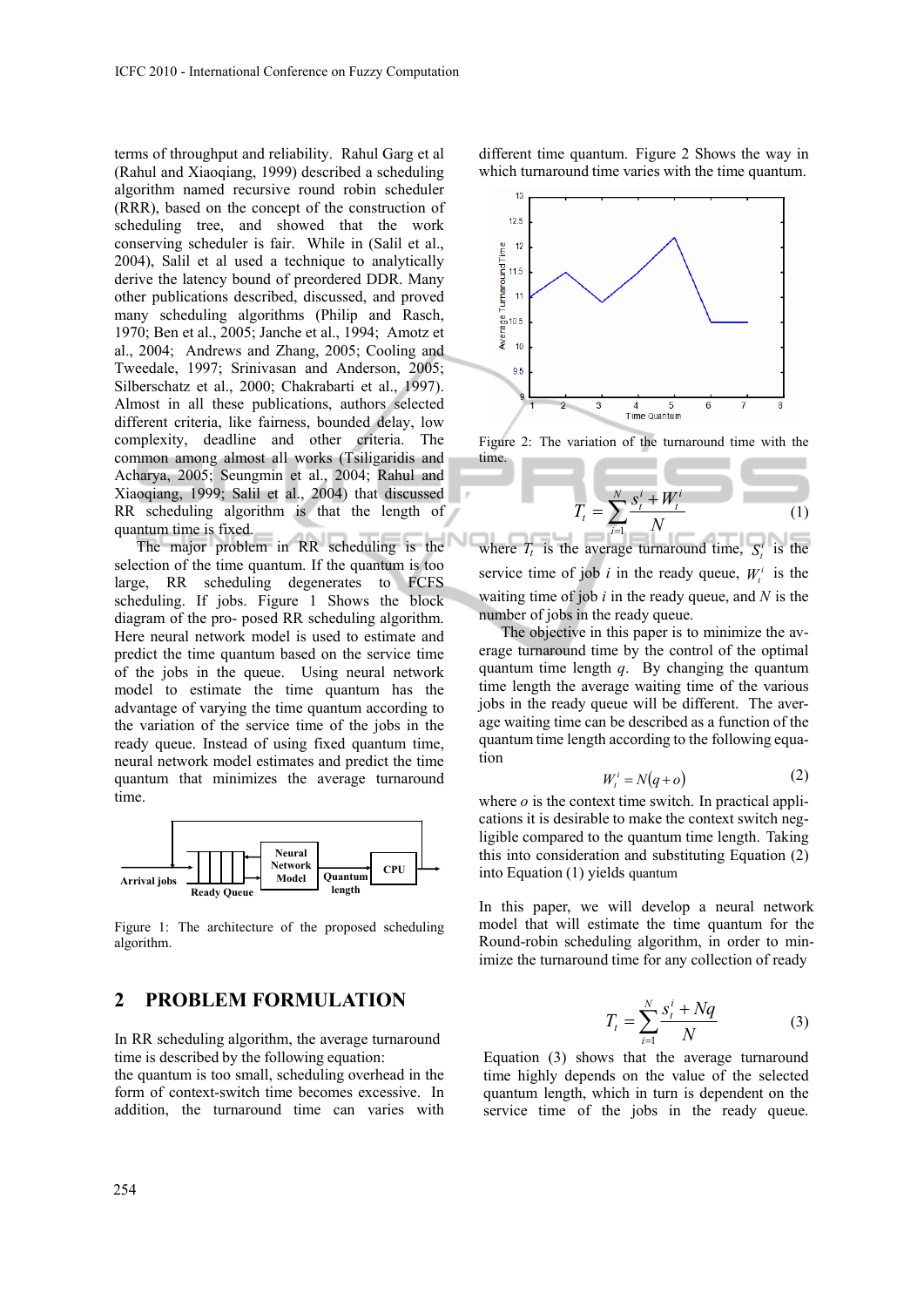terms of throughput and reliability. Rahul Garg et al (Rahul and Xiaoqiang, 1999) described a scheduling algorithm named recursive round robin scheduler (RRR), based on the concept of the construction of scheduling tree, and showed that the work conserving scheduler is fair. While in (Salil et al., 2004), Salil et al used a technique to analytically derive the latency bound of preordered DDR. Many other publications described, discussed, and proved many scheduling algorithms (Philip and Rasch, 1970; Ben et al., 2005; Janche et al., 1994; Amotz et al., 2004; Andrews and Zhang, 2005; Cooling and Tweedale, 1997; Srinivasan and Anderson, 2005; Silberschatz et al., 2000; Chakrabarti et al., 1997). Almost in all these publications, authors selected different criteria, like fairness, bounded delay, low complexity, deadline and other criteria. The common among almost all works (Tsiligaridis and Acharya, 2005; Seungmin et al., 2004; Rahul and Xiaoqiang, 1999; Salil et al., 2004) that discussed RR scheduling algorithm is that the length of quantum time is fixed.

The major problem in RR scheduling is the selection of the time quantum. If the quantum is too large, RR scheduling degenerates to FCFS scheduling. If jobs. Figure 1 Shows the block diagram of the pro- posed RR scheduling algorithm. Here neural network model is used to estimate and predict the time quantum based on the service time of the jobs in the queue. Using neural network model to estimate the time quantum has the advantage of varying the time quantum according to the variation of the service time of the jobs in the ready queue. Instead of using fixed quantum time, neural network model estimates and predict the time quantum that minimizes the average turnaround time.



Figure 1: The architecture of the proposed scheduling algorithm.

## **2 PROBLEM FORMULATION**

In RR scheduling algorithm, the average turnaround time is described by the following equation:

the quantum is too small, scheduling overhead in the form of context-switch time becomes excessive. In addition, the turnaround time can varies with

different time quantum. Figure 2 Shows the way in which turnaround time varies with the time quantum.



Figure 2: The variation of the turnaround time with the time.

$$
T_{t} = \sum_{i=1}^{N} \frac{s_{t}^{i} + W_{t}^{i}}{N}
$$
 (1)

where  $T_t$  is the average turnaround time,  $S_t^i$  is the service time of job *i* in the ready queue,  $W_i^i$  is the waiting time of job *i* in the ready queue, and *N* is the number of jobs in the ready queue.

The objective in this paper is to minimize the average turnaround time by the control of the optimal quantum time length *q*. By changing the quantum time length the average waiting time of the various jobs in the ready queue will be different. The average waiting time can be described as a function of the quantum time length according to the following equation

$$
W_t^i = N(q + o)
$$
 (2)

where  $\sigma$  is the context time switch. In practical applications it is desirable to make the context switch negligible compared to the quantum time length. Taking this into consideration and substituting Equation (2) into Equation (1) yields quantum

In this paper, we will develop a neural network model that will estimate the time quantum for the Round-robin scheduling algorithm, in order to minimize the turnaround time for any collection of ready

$$
T_t = \sum_{i=1}^{N} \frac{s_t^i + Nq}{N} \tag{3}
$$

Equation (3) shows that the average turnaround time highly depends on the value of the selected quantum length, which in turn is dependent on the service time of the jobs in the ready queue.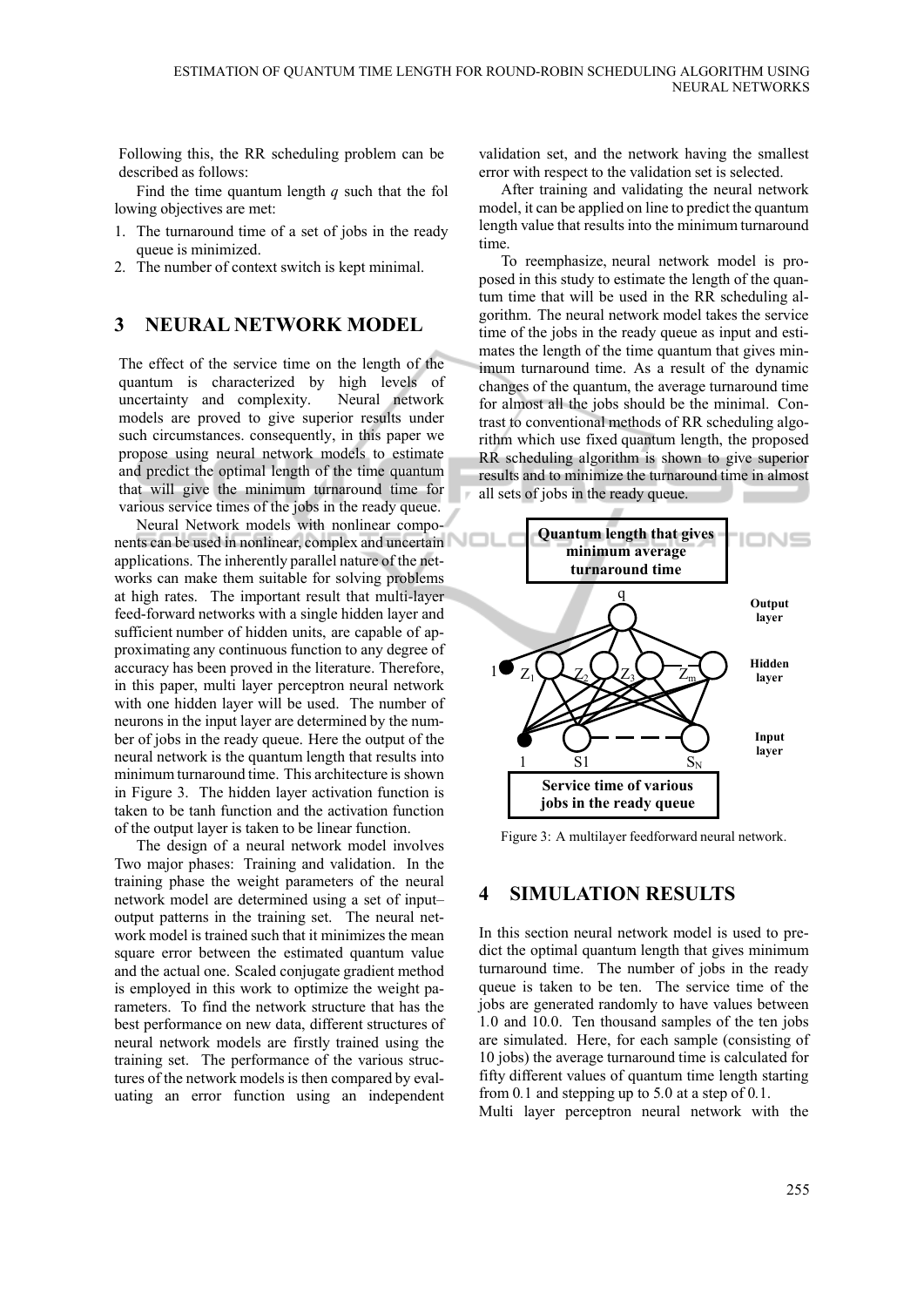Following this, the RR scheduling problem can be described as follows:

Find the time quantum length *q* such that the fol lowing objectives are met:

- 1. The turnaround time of a set of jobs in the ready queue is minimized.
- 2. The number of context switch is kept minimal.

#### **3 NEURAL NETWORK MODEL**

The effect of the service time on the length of the quantum is characterized by high levels of uncertainty and complexity. Neural network models are proved to give superior results under such circumstances, consequently, in this paper we propose using neural network models to estimate and predict the optimal length of the time quantum that will give the minimum turnaround time for various service times of the jobs in the ready queue.

Neural Network models with nonlinear components can be used in nonlinear, complex and uncertain applications. The inherently parallel nature of the networks can make them suitable for solving problems at high rates. The important result that multi-layer feed-forward networks with a single hidden layer and sufficient number of hidden units, are capable of approximating any continuous function to any degree of accuracy has been proved in the literature. Therefore, in this paper, multi layer perceptron neural network with one hidden layer will be used. The number of neurons in the input layer are determined by the number of jobs in the ready queue. Here the output of the neural network is the quantum length that results into minimum turnaround time. This architecture is shown in Figure 3. The hidden layer activation function is taken to be tanh function and the activation function of the output layer is taken to be linear function.

The design of a neural network model involves Two major phases: Training and validation. In the training phase the weight parameters of the neural network model are determined using a set of input– output patterns in the training set. The neural network model is trained such that it minimizes the mean square error between the estimated quantum value and the actual one. Scaled conjugate gradient method is employed in this work to optimize the weight parameters. To find the network structure that has the best performance on new data, different structures of neural network models are firstly trained using the training set. The performance of the various structures of the network models is then compared by evaluating an error function using an independent validation set, and the network having the smallest error with respect to the validation set is selected.

After training and validating the neural network model, it can be applied on line to predict the quantum length value that results into the minimum turnaround time.

To reemphasize, neural network model is proposed in this study to estimate the length of the quantum time that will be used in the RR scheduling algorithm. The neural network model takes the service time of the jobs in the ready queue as input and estimates the length of the time quantum that gives minimum turnaround time. As a result of the dynamic changes of the quantum, the average turnaround time for almost all the jobs should be the minimal. Contrast to conventional methods of RR scheduling algorithm which use fixed quantum length, the proposed RR scheduling algorithm is shown to give superior results and to minimize the turnaround time in almost all sets of jobs in the ready queue.



Figure 3: A multilayer feedforward neural network.

## **4 SIMULATION RESULTS**

In this section neural network model is used to predict the optimal quantum length that gives minimum turnaround time. The number of jobs in the ready queue is taken to be ten. The service time of the jobs are generated randomly to have values between 1*.*0 and 10*.*0. Ten thousand samples of the ten jobs are simulated. Here, for each sample (consisting of 10 jobs) the average turnaround time is calculated for fifty different values of quantum time length starting from 0*.*1 and stepping up to 5*.*0 at a step of 0*.*1. Multi layer perceptron neural network with the

255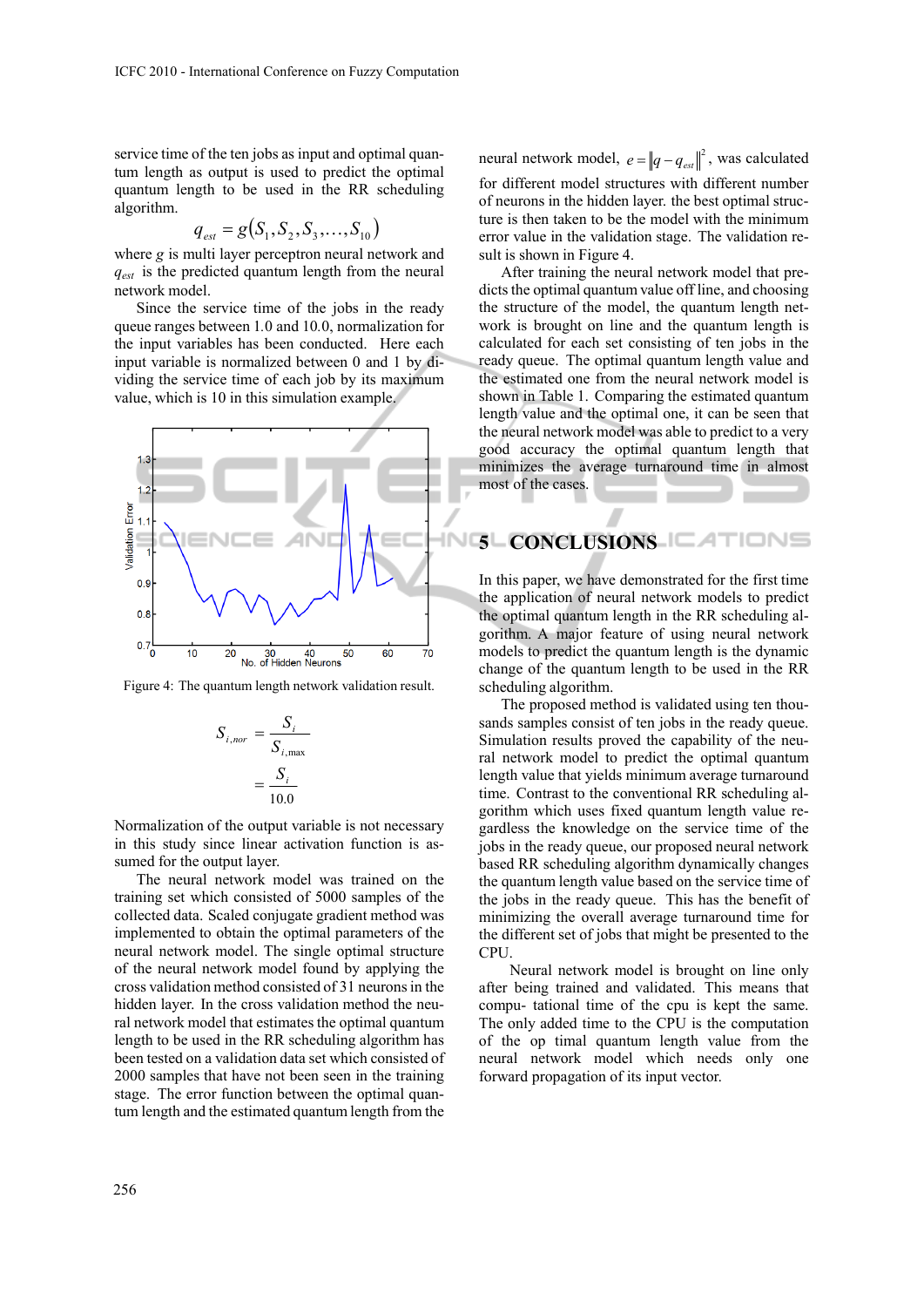service time of the ten jobs as input and optimal quantum length as output is used to predict the optimal quantum length to be used in the RR scheduling algorithm.

$$
q_{\text{est}} = g(S_1, S_2, S_3, \dots, S_{10})
$$

where *g* is multi layer perceptron neural network and  $q_{est}$  is the predicted quantum length from the neural network model.

Since the service time of the jobs in the ready queue ranges between 1*.*0 and 10*.*0, normalization for the input variables has been conducted. Here each input variable is normalized between 0 and 1 by dividing the service time of each job by its maximum value, which is 10 in this simulation example.



Figure 4: The quantum length network validation result.

$$
S_{i,nor} = \frac{S_i}{S_{i,\text{max}}}
$$

$$
= \frac{S_i}{10.0}
$$

Normalization of the output variable is not necessary in this study since linear activation function is assumed for the output layer.

The neural network model was trained on the training set which consisted of 5000 samples of the collected data. Scaled conjugate gradient method was implemented to obtain the optimal parameters of the neural network model. The single optimal structure of the neural network model found by applying the cross validation method consisted of 31 neurons in the hidden layer. In the cross validation method the neural network model that estimates the optimal quantum length to be used in the RR scheduling algorithm has been tested on a validation data set which consisted of 2000 samples that have not been seen in the training stage. The error function between the optimal quantum length and the estimated quantum length from the

neural network model,  $e = ||q - q_{est}||^2$ , was calculated for different model structures with different number of neurons in the hidden layer. the best optimal structure is then taken to be the model with the minimum error value in the validation stage. The validation result is shown in Figure 4.

After training the neural network model that predicts the optimal quantum value off line, and choosing the structure of the model, the quantum length network is brought on line and the quantum length is calculated for each set consisting of ten jobs in the ready queue. The optimal quantum length value and the estimated one from the neural network model is shown in Table 1. Comparing the estimated quantum length value and the optimal one, it can be seen that the neural network model was able to predict to a very good accuracy the optimal quantum length that minimizes the average turnaround time in almost most of the cases.

# **INGLONCLUSIONS**

In this paper, we have demonstrated for the first time the application of neural network models to predict the optimal quantum length in the RR scheduling algorithm. A major feature of using neural network models to predict the quantum length is the dynamic change of the quantum length to be used in the RR scheduling algorithm.

The proposed method is validated using ten thousands samples consist of ten jobs in the ready queue. Simulation results proved the capability of the neural network model to predict the optimal quantum length value that yields minimum average turnaround time. Contrast to the conventional RR scheduling algorithm which uses fixed quantum length value regardless the knowledge on the service time of the jobs in the ready queue, our proposed neural network based RR scheduling algorithm dynamically changes the quantum length value based on the service time of the jobs in the ready queue. This has the benefit of minimizing the overall average turnaround time for the different set of jobs that might be presented to the CPU.

 Neural network model is brought on line only after being trained and validated. This means that compu- tational time of the cpu is kept the same. The only added time to the CPU is the computation of the op timal quantum length value from the neural network model which needs only one forward propagation of its input vector.